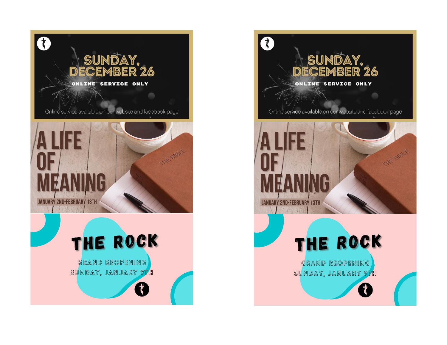



Online service available on our website and facebook page



# THE ROCK

GRAND REOPENING SUNDAY, JANUARY 9TH